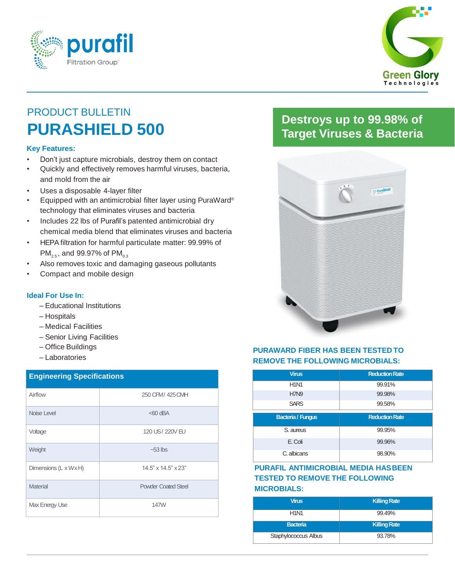



# PRODUCT BULLETIN **PURASHIELD 500**

#### **Key Features:**

- Don't just capture microbials, destroy them on contact
- Quickly and effectively removes harmful viruses, bacteria, and mold from the air
- Uses a disposable 4-layer filter
- Equipped with an antimicrobial filter layer using PuraWard® technology that eliminates viruses and bacteria
- Includes 22 lbs of Purafil's patented antimicrobial dry chemical media blend that eliminates viruses and bacteria
- HEPA filtration for harmful particulate matter: 99.99% of  $PM_{2.5}$ , and 99.97% of PM<sub>0.3</sub>
- Also removes toxic and damaging gaseous pollutants
- Compact and mobile design

#### **Ideal For Use In:**

- Educational Institutions
- Hospitals
- Medical Facilities
- Senior Living Facilities
- Office Buildings
- Laboratories

| <b>Engineering Specifications</b> |                            |  |
|-----------------------------------|----------------------------|--|
| Airflow                           | 250 CFM/ 425 CMH           |  |
| Noise Level                       | $<$ 60 dBA                 |  |
| Voltage                           | 120 US/220V EU             |  |
| Weight                            | $-53$ lbs                  |  |
| Dimensions (L x W x H)            | 14.5" x 14.5" x 23"        |  |
| Material                          | <b>Powder Coated Steel</b> |  |
| Max Energy Use                    | 147W                       |  |
|                                   |                            |  |

### **Destroys up to 99.98% of Target Viruses & Bacteria**



#### **PURAWARD FIBER HAS BEEN TESTED TO REMOVE THE FOLLOWING MICROBIALS:**

| <b>Virus</b>             | <b>Reduction Rate</b> |  |  |
|--------------------------|-----------------------|--|--|
| <b>H1N1</b>              | 99.91%                |  |  |
| <b>H7N9</b>              | 99.98%                |  |  |
| <b>SARS</b>              | 99.58%                |  |  |
|                          |                       |  |  |
| <b>Bacteria / Fungus</b> | <b>Reduction Rate</b> |  |  |
| S. aureus                | 99.95%                |  |  |
| E. Coli                  | 99.96%                |  |  |

#### **PURAFIL ANTIMICROBIAL MEDIA HASBEEN TESTED TO REMOVE THE FOLLOWING MICROBIALS:**

| <b>Virus</b>                  | <b>Killing Rate</b> |
|-------------------------------|---------------------|
| H <sub>1</sub> N <sub>1</sub> | 99.49%              |
| <b>Bacteria</b>               | <b>Killing Rate</b> |
| Staphylococcus Albus          | 93.78%              |